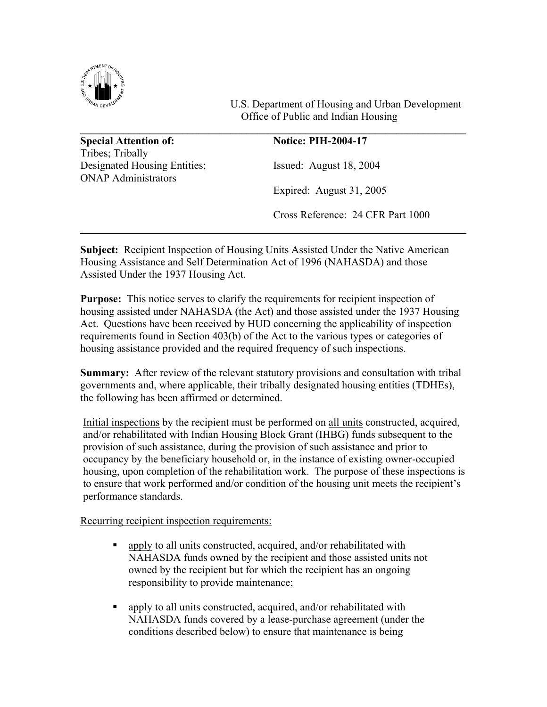

 U.S. Department of Housing and Urban Development Office of Public and Indian Housing

**\_\_\_\_\_\_\_\_\_\_\_\_\_\_\_\_\_\_\_\_\_\_\_\_\_\_\_\_\_\_\_\_\_\_\_\_\_\_\_\_\_\_\_\_\_\_\_\_\_\_\_\_\_\_\_\_\_\_\_\_\_\_\_\_\_\_\_\_\_\_\_\_ Special Attention of: Notice: PIH-2004-17** Tribes; Tribally Designated Housing Entities; Issued: August 18, 2004 ONAP Administrators Expired: August 31, 2005 Cross Reference: 24 CFR Part 1000

**Subject:** Recipient Inspection of Housing Units Assisted Under the Native American Housing Assistance and Self Determination Act of 1996 (NAHASDA) and those Assisted Under the 1937 Housing Act.

**Purpose:** This notice serves to clarify the requirements for recipient inspection of housing assisted under NAHASDA (the Act) and those assisted under the 1937 Housing Act. Questions have been received by HUD concerning the applicability of inspection requirements found in Section 403(b) of the Act to the various types or categories of housing assistance provided and the required frequency of such inspections.

**Summary:** After review of the relevant statutory provisions and consultation with tribal governments and, where applicable, their tribally designated housing entities (TDHEs), the following has been affirmed or determined.

Initial inspections by the recipient must be performed on all units constructed, acquired, and/or rehabilitated with Indian Housing Block Grant (IHBG) funds subsequent to the provision of such assistance, during the provision of such assistance and prior to occupancy by the beneficiary household or, in the instance of existing owner-occupied housing, upon completion of the rehabilitation work. The purpose of these inspections is to ensure that work performed and/or condition of the housing unit meets the recipient's performance standards.

Recurring recipient inspection requirements:

- **apply to all units constructed, acquired, and/or rehabilitated with** NAHASDA funds owned by the recipient and those assisted units not owned by the recipient but for which the recipient has an ongoing responsibility to provide maintenance;
- **apply to all units constructed, acquired, and/or rehabilitated with** NAHASDA funds covered by a lease-purchase agreement (under the conditions described below) to ensure that maintenance is being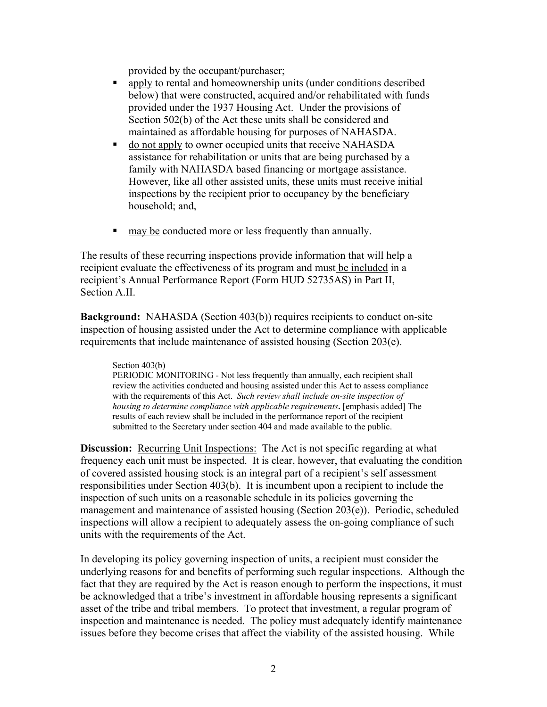provided by the occupant/purchaser;

- apply to rental and homeownership units (under conditions described below) that were constructed, acquired and/or rehabilitated with funds provided under the 1937 Housing Act. Under the provisions of Section 502(b) of the Act these units shall be considered and maintained as affordable housing for purposes of NAHASDA.
- do not apply to owner occupied units that receive NAHASDA assistance for rehabilitation or units that are being purchased by a family with NAHASDA based financing or mortgage assistance. However, like all other assisted units, these units must receive initial inspections by the recipient prior to occupancy by the beneficiary household; and,
- may be conducted more or less frequently than annually.

The results of these recurring inspections provide information that will help a recipient evaluate the effectiveness of its program and must be included in a recipient's Annual Performance Report (Form HUD 52735AS) in Part II, Section A.II.

**Background:** NAHASDA (Section 403(b)) requires recipients to conduct on-site inspection of housing assisted under the Act to determine compliance with applicable requirements that include maintenance of assisted housing (Section 203(e).

## Section 403(b)

PERIODIC MONITORING - Not less frequently than annually, each recipient shall review the activities conducted and housing assisted under this Act to assess compliance with the requirements of this Act. *Such review shall include on-site inspection of housing to determine compliance with applicable requirements***.** [emphasis added] The results of each review shall be included in the performance report of the recipient submitted to the Secretary under section 404 and made available to the public.

**Discussion:** Recurring Unit Inspections: The Act is not specific regarding at what frequency each unit must be inspected. It is clear, however, that evaluating the condition of covered assisted housing stock is an integral part of a recipient's self assessment responsibilities under Section 403(b). It is incumbent upon a recipient to include the inspection of such units on a reasonable schedule in its policies governing the management and maintenance of assisted housing (Section 203(e)). Periodic, scheduled inspections will allow a recipient to adequately assess the on-going compliance of such units with the requirements of the Act.

In developing its policy governing inspection of units, a recipient must consider the underlying reasons for and benefits of performing such regular inspections. Although the fact that they are required by the Act is reason enough to perform the inspections, it must be acknowledged that a tribe's investment in affordable housing represents a significant asset of the tribe and tribal members. To protect that investment, a regular program of inspection and maintenance is needed. The policy must adequately identify maintenance issues before they become crises that affect the viability of the assisted housing. While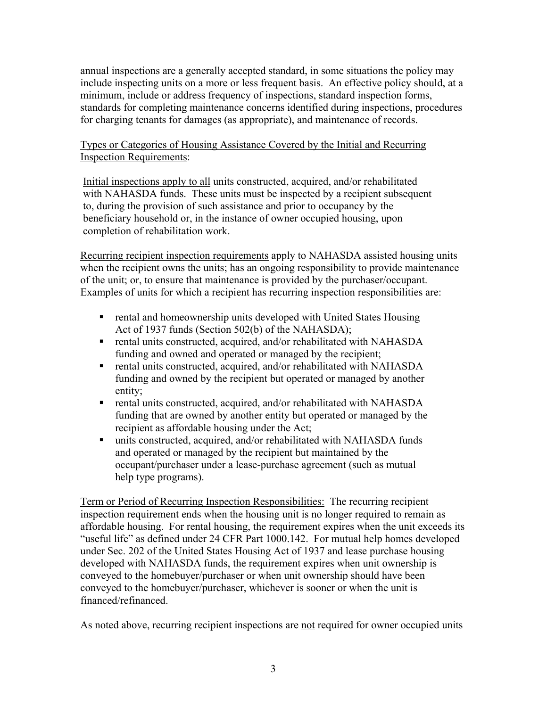annual inspections are a generally accepted standard, in some situations the policy may include inspecting units on a more or less frequent basis. An effective policy should, at a minimum, include or address frequency of inspections, standard inspection forms, standards for completing maintenance concerns identified during inspections, procedures for charging tenants for damages (as appropriate), and maintenance of records.

## Types or Categories of Housing Assistance Covered by the Initial and Recurring Inspection Requirements:

Initial inspections apply to all units constructed, acquired, and/or rehabilitated with NAHASDA funds. These units must be inspected by a recipient subsequent to, during the provision of such assistance and prior to occupancy by the beneficiary household or, in the instance of owner occupied housing, upon completion of rehabilitation work.

Recurring recipient inspection requirements apply to NAHASDA assisted housing units when the recipient owns the units; has an ongoing responsibility to provide maintenance of the unit; or, to ensure that maintenance is provided by the purchaser/occupant. Examples of units for which a recipient has recurring inspection responsibilities are:

- **F** rental and homeownership units developed with United States Housing Act of 1937 funds (Section 502(b) of the NAHASDA);
- **F** rental units constructed, acquired, and/or rehabilitated with NAHASDA funding and owned and operated or managed by the recipient;
- **F** rental units constructed, acquired, and/or rehabilitated with NAHASDA funding and owned by the recipient but operated or managed by another entity;
- rental units constructed, acquired, and/or rehabilitated with NAHASDA funding that are owned by another entity but operated or managed by the recipient as affordable housing under the Act;
- units constructed, acquired, and/or rehabilitated with NAHASDA funds and operated or managed by the recipient but maintained by the occupant/purchaser under a lease-purchase agreement (such as mutual help type programs).

Term or Period of Recurring Inspection Responsibilities: The recurring recipient inspection requirement ends when the housing unit is no longer required to remain as affordable housing. For rental housing, the requirement expires when the unit exceeds its "useful life" as defined under 24 CFR Part 1000.142. For mutual help homes developed under Sec. 202 of the United States Housing Act of 1937 and lease purchase housing developed with NAHASDA funds, the requirement expires when unit ownership is conveyed to the homebuyer/purchaser or when unit ownership should have been conveyed to the homebuyer/purchaser, whichever is sooner or when the unit is financed/refinanced.

As noted above, recurring recipient inspections are not required for owner occupied units